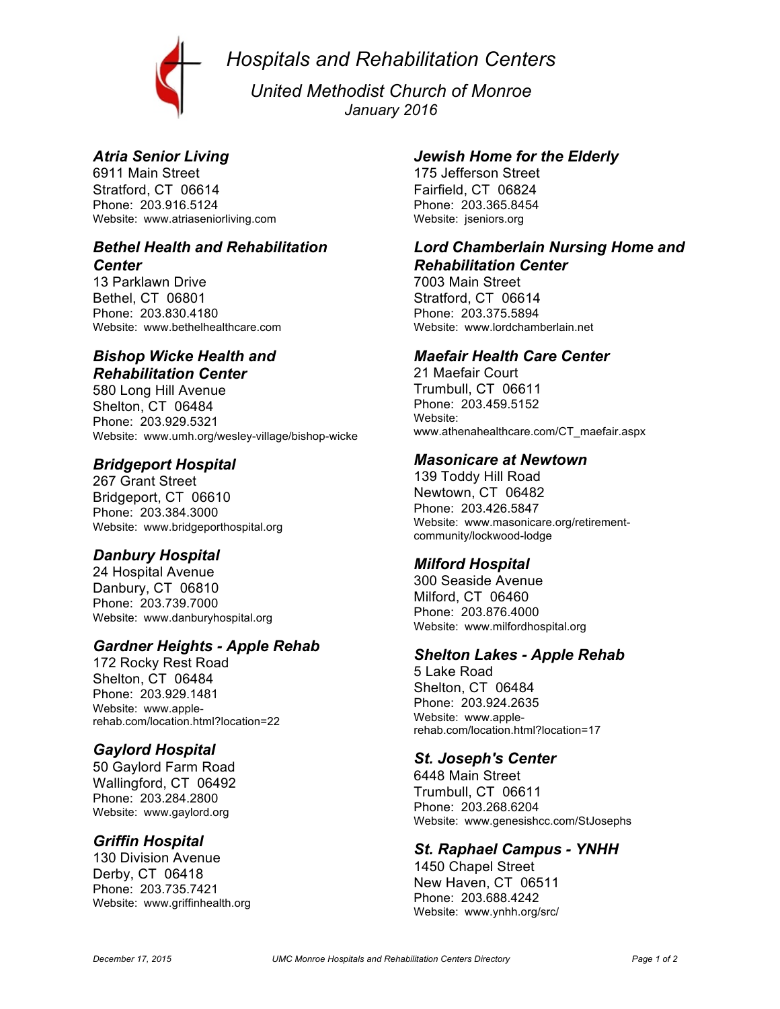*Hospitals and Rehabilitation Centers*



*United Methodist Church of Monroe January 2016*

# *Atria Senior Living*

6911 Main Street Stratford, CT 06614 Phone: 203.916.5124 Website: www.atriaseniorliving.com

#### *Bethel Health and Rehabilitation Center*

13 Parklawn Drive Bethel, CT 06801 Phone: 203.830.4180 Website: www.bethelhealthcare.com

## *Bishop Wicke Health and Rehabilitation Center*

580 Long Hill Avenue Shelton, CT 06484 Phone: 203.929.5321 Website: www.umh.org/wesley-village/bishop-wicke

#### *Bridgeport Hospital*

267 Grant Street Bridgeport, CT 06610 Phone: 203.384.3000 Website: www.bridgeporthospital.org

### *Danbury Hospital*

24 Hospital Avenue Danbury, CT 06810 Phone: 203.739.7000 Website: www.danburyhospital.org

### *Gardner Heights - Apple Rehab*

172 Rocky Rest Road Shelton, CT 06484 Phone: 203.929.1481 Website: www.applerehab.com/location.html?location=22

# *Gaylord Hospital*

50 Gaylord Farm Road Wallingford, CT 06492 Phone: 203.284.2800 Website: www.gaylord.org

#### *Griffin Hospital*

130 Division Avenue Derby, CT 06418 Phone: 203.735.7421 Website: www.griffinhealth.org

#### *Jewish Home for the Elderly*

175 Jefferson Street Fairfield, CT 06824 Phone: 203.365.8454 Website: jseniors.org

#### *Lord Chamberlain Nursing Home and Rehabilitation Center*

7003 Main Street Stratford, CT 06614 Phone: 203.375.5894 Website: www.lordchamberlain.net

#### *Maefair Health Care Center*

21 Maefair Court Trumbull, CT 06611 Phone: 203.459.5152 Website: www.athenahealthcare.com/CT\_maefair.aspx

#### *Masonicare at Newtown*

139 Toddy Hill Road Newtown, CT 06482 Phone: 203.426.5847 Website: www.masonicare.org/retirementcommunity/lockwood-lodge

### *Milford Hospital*

300 Seaside Avenue Milford, CT 06460 Phone: 203.876.4000 Website: www.milfordhospital.org

### *Shelton Lakes - Apple Rehab*

5 Lake Road Shelton, CT 06484 Phone: 203.924.2635 Website: www.applerehab.com/location.html?location=17

### *St. Joseph's Center*

6448 Main Street Trumbull, CT 06611 Phone: 203.268.6204 Website: www.genesishcc.com/StJosephs

### *St. Raphael Campus - YNHH*

1450 Chapel Street New Haven, CT 06511 Phone: 203.688.4242 Website: www.ynhh.org/src/